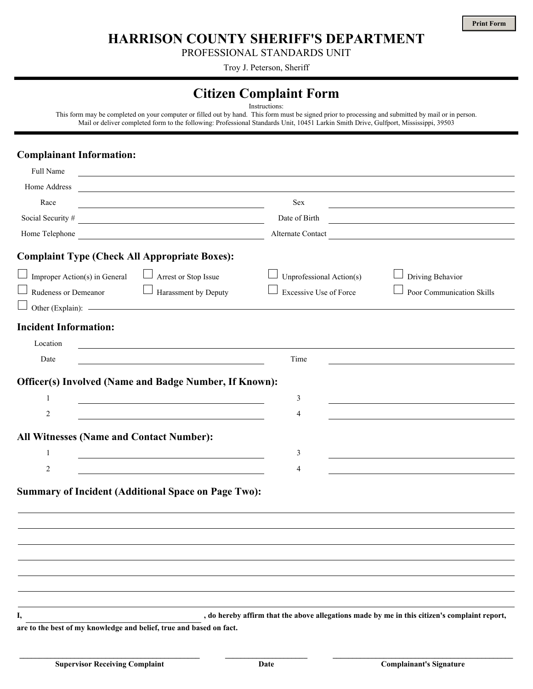**HARRISON COUNTY SHERIFF'S DEPARTMENT**

PROFESSIONAL STANDARDS UNIT

Troy J. Peterson, Sheriff

## **Citizen Complaint Form**

Instructions:

This form may be completed on your computer or filled out by hand. This form must be signed prior to processing and submitted by mail or in person. Mail or deliver completed form to the following: Professional Standards Unit, 10451 Larkin Smith Drive, Gulfport, Mississippi, 39503

## **Complainant Information:**

| Full Name                                                                                                                              |                                                                                                                       |                               |                                                                                              |
|----------------------------------------------------------------------------------------------------------------------------------------|-----------------------------------------------------------------------------------------------------------------------|-------------------------------|----------------------------------------------------------------------------------------------|
| Home Address                                                                                                                           | and the control of the control of the control of the control of the control of the control of the control of the      |                               |                                                                                              |
| Race                                                                                                                                   | <u> 1989 - Johann Stein, marwolaethau a bhann an t-Amhain Aonaichte ann an t-Amhain Aonaichte ann an t-Amhain Aon</u> | Sex                           |                                                                                              |
| Social Security #<br><u> 1989 - Johann Stoff, fransk politik (d. 1989)</u>                                                             |                                                                                                                       | Date of Birth                 | <u> 1980 - Andrea Station, amerikan bisantista (</u>                                         |
| Home Telephone<br><u> 1989 - Johann Barn, mars eta bainar eta bainar eta baina eta baina eta baina eta baina eta baina eta baina e</u> |                                                                                                                       | Alternate Contact             |                                                                                              |
| <b>Complaint Type (Check All Appropriate Boxes):</b>                                                                                   |                                                                                                                       |                               |                                                                                              |
| Improper Action(s) in General                                                                                                          | $\begin{array}{c} \hline \end{array}$<br>Arrest or Stop Issue                                                         | Unprofessional Action(s)      | Driving Behavior                                                                             |
| Rudeness or Demeanor                                                                                                                   | $\begin{array}{c} \hline \end{array}$<br>Harassment by Deputy                                                         | <b>Excessive Use of Force</b> | Poor Communication Skills                                                                    |
|                                                                                                                                        | Other (Explain): –                                                                                                    |                               |                                                                                              |
| <b>Incident Information:</b>                                                                                                           |                                                                                                                       |                               |                                                                                              |
| Location                                                                                                                               | <u> 1980 - Andrea Station Barbara, actor a component de la componentación de la componentación de la componentaci</u> |                               |                                                                                              |
| Date                                                                                                                                   | <u> 1980 - Johann Barbara, martxa alemaniar arg</u>                                                                   | Time                          |                                                                                              |
|                                                                                                                                        |                                                                                                                       |                               |                                                                                              |
|                                                                                                                                        | <b>Officer(s) Involved (Name and Badge Number, If Known):</b>                                                         |                               |                                                                                              |
| $\mathbf{1}$                                                                                                                           | <u> 1980 - Johann Barbara, martxa alemaniar arg</u>                                                                   | 3                             |                                                                                              |
| $\overline{c}$                                                                                                                         |                                                                                                                       | 4                             |                                                                                              |
| <b>All Witnesses (Name and Contact Number):</b>                                                                                        |                                                                                                                       |                               |                                                                                              |
| $\mathbf{1}$                                                                                                                           |                                                                                                                       | 3                             | <u> 1989 - Andrea Stadt Britain, amerikansk politik (* 1908)</u>                             |
| 2                                                                                                                                      |                                                                                                                       | 4                             |                                                                                              |
|                                                                                                                                        |                                                                                                                       |                               |                                                                                              |
|                                                                                                                                        | <b>Summary of Incident (Additional Space on Page Two):</b>                                                            |                               |                                                                                              |
|                                                                                                                                        |                                                                                                                       |                               |                                                                                              |
|                                                                                                                                        |                                                                                                                       |                               |                                                                                              |
|                                                                                                                                        |                                                                                                                       |                               |                                                                                              |
|                                                                                                                                        |                                                                                                                       |                               |                                                                                              |
|                                                                                                                                        |                                                                                                                       |                               |                                                                                              |
|                                                                                                                                        |                                                                                                                       |                               |                                                                                              |
| I,                                                                                                                                     |                                                                                                                       |                               | , do hereby affirm that the above allegations made by me in this citizen's complaint report, |
|                                                                                                                                        |                                                                                                                       |                               |                                                                                              |

**are to the best of my knowledge and belief, true and based on fact.**